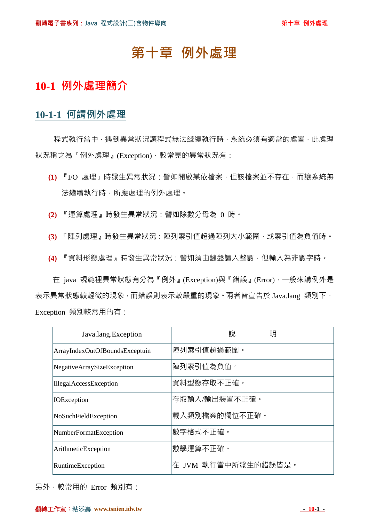# **第十章 例外處理**

## **10-1 例外處理簡介**

#### **10-1-1 何謂例外處理**

程式執行當中,遇到異常狀況讓程式無法繼續執行時,系統必須有適當的處置,此處理 狀況稱之為『例外處理』(Exception),較常見的異常狀況有:

- **(1)** 『I/O 處理』時發生異常狀況:譬如開啟某依檔案,但該檔案並不存在,而讓系統無 法繼續執行時,所應處理的例外處理。
- **(2)** 『運算處理』時發生異常狀況:譬如除數分母為 0 時。
- **(3)** 『陣列處理』時發生異常狀況:陣列索引值超過陣列大小範圍,或索引值為負值時。
- **(4)** 『資料形態處理』時發生異常狀況:譬如須由鍵盤讀入整數,但輸入為非數字時。

在 java 規範裡異常狀態有分為『例外』(Exception)與『錯誤』(Error),一般來講例外是 表示異常狀態較輕微的現象,而錯誤則表示較嚴重的現象。兩者皆宣告於 Java.lang 類別下, Exception 類別較常用的有:

| Java.lang.Exception            | 明<br>說              |
|--------------------------------|---------------------|
| ArrayIndexOutOfBoundsExceptuin | 陣列索引值超過範圍。          |
| NegativeArraySizeException     | 陣列索引值為負值。           |
| IllegalAccessException         | 資料型態存取不正確。          |
| <b>IOE</b> xception            | 存取輸入/輸出裝置不正確。       |
| NoSuchFieldException           | 載入類別檔案的欄位不正確。       |
| NumberFormatException          | 數字格式不正確。            |
| ArithmeticException            | 數學運算不正確。            |
| RuntimeException               | 在 JVM 執行當中所發生的錯誤皆是。 |

另外,較常用的 Error 類別有: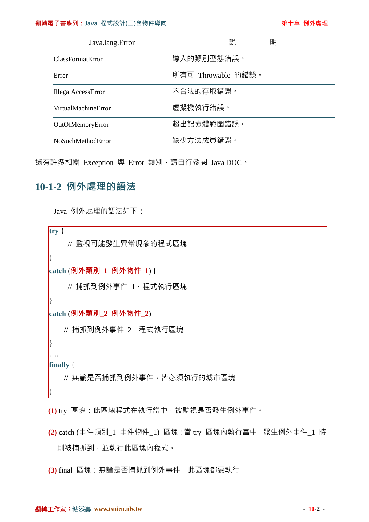| Java.lang.Error          | 說<br>明             |
|--------------------------|--------------------|
| ClassFormatError         | 導入的類別型態錯誤。         |
| Error                    | 所有可 Throwable 的錯誤。 |
| IllegalAccessError       | 不合法的存取錯誤。          |
| VirtualMachineError      | 虛擬機執行錯誤。           |
| OutOfMemoryError         | 超出記憶體範圍錯誤。         |
| <b>NoSuchMethodError</b> | 缺少方法成員錯誤。          |

還有許多相關 Exception 與 Error 類別,請自行參閱 Java DOC。

### **10-1-2 例外處理的語法**

Java 例外處理的語法如下:

**try** { // 監視可能發生異常現象的程式區塊 } **catch** (**例外類別\_1 例外物件\_1**) { // 捕抓到例外事件\_1,程式執行區塊 } **catch** (**例外類別\_2 例外物件\_2**) // 捕抓到例外事件\_2,程式執行區塊 } …. **finally** { // 無論是否捕抓到例外事件,皆必須執行的城市區塊 }

**(1)** try 區塊:此區塊程式在執行當中,被監視是否發生例外事件。

**(2)** catch (事件類別\_1 事件物件\_1) 區塊:當 try 區塊內執行當中,發生例外事件\_1 時, 則被捕抓到,並執行此區塊內程式。

**(3)** final 區塊:無論是否捕抓到例外事件,此區塊都要執行。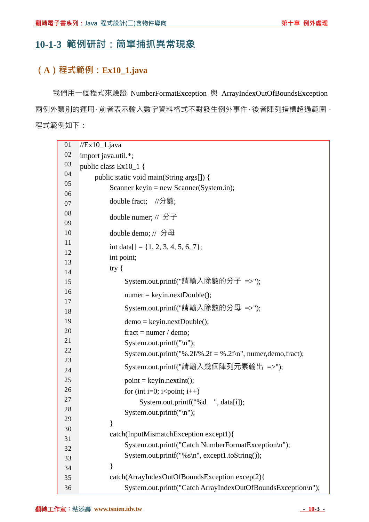## **10-1-3 範例研討:簡單捕抓異常現象**

#### **(A)程式範例:Ex10\_1.java**

我們用一個程式來驗證 NumberFormatException 與 ArrayIndexOutOfBoundsException 兩例外類別的運用,前者表示輸入數字資料格式不對發生例外事件,後者陣列指標超過範圍, 程式範例如下:

| 01       | $//Ex10_1.java$                                              |  |
|----------|--------------------------------------------------------------|--|
| 02       | import java.util.*;                                          |  |
| 03       | public class Ex10_1 {                                        |  |
| 04       | public static void main(String args[]) {                     |  |
| 05       | Scanner keyin = new Scanner(System.in);                      |  |
| 06       | double fract; //分數;                                          |  |
| 07       |                                                              |  |
| 08       | double numer; // 分子                                          |  |
| 09<br>10 | double demo; // 分母                                           |  |
| 11       |                                                              |  |
| 12       | int data[] = {1, 2, 3, 4, 5, 6, 7};                          |  |
| 13       | int point;                                                   |  |
| 14       | try $\{$                                                     |  |
| 15       | System.out.printf("請輸入除數的分子 =>");                            |  |
| 16       | $numer = keyin.nextDouble();$                                |  |
| 17       |                                                              |  |
| 18       | System.out.printf("請輸入除數的分母 =>");                            |  |
| 19       | $demo = keyin.nextDouble();$                                 |  |
| 20       | fract = numer / demo;                                        |  |
| 21       | System.out.printf( $"\n\langle n"\rangle$ ;                  |  |
| 22       | System.out.printf("%.2f/%.2f = %.2f\n", numer,demo,fract);   |  |
| 23<br>24 | System.out.printf("請輸入幾個陣列元素輸出 =>");                         |  |
| 25       | $point = keyin.nextInt();$                                   |  |
| 26       | for (int i=0; i <point; i++)<="" td=""></point;>             |  |
| 27       | System.out.printf("%d ", data[i]);                           |  |
| 28       | System.out.printf( $"\n\langle n"\rangle$ ;                  |  |
| 29       | ∤                                                            |  |
| 30       | catch(InputMismatchException except1){                       |  |
| 31       | System.out.printf("Catch NumberFormatException\n");          |  |
| 32       |                                                              |  |
| 33       | System.out.printf("%s\n", except1.toString());               |  |
| 34       |                                                              |  |
| 35       | catch(ArrayIndexOutOfBoundsException except2){               |  |
| 36       | System.out.printf("Catch ArrayIndexOutOfBoundsException\n"); |  |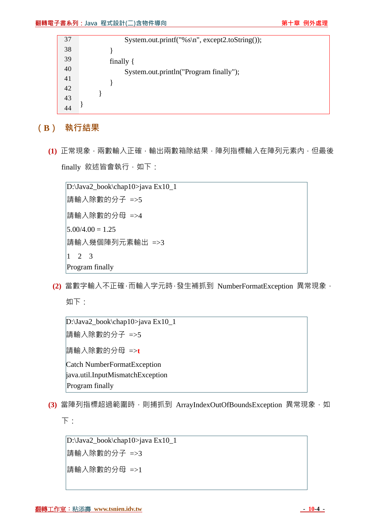| 37 | System.out.printf("%s\n", except2.toString()); |
|----|------------------------------------------------|
| 38 |                                                |
| 39 | finally $\{$                                   |
| 40 | System.out.println("Program finally");         |
| 41 |                                                |
| 42 |                                                |
| 43 |                                                |
| 44 |                                                |

**(B) 執行結果**

**(1)** 正常現象,兩數輸入正確,輸出兩數箱除結果,陣列指標輸入在陣列元素內,但最後 finally 敘述皆會執行, 如下:

D:\Java2\_book\chap10>java Ex10\_1 請輸入除數的分子 =>5 請輸入除數的分母 =>4  $5.00/4.00 = 1.25$ 請輸入幾個陣列元素輸出 =>3  $\begin{vmatrix} 1 & 2 & 3 \end{vmatrix}$ Program finally

**(2)** 當數字輸入不正確,而輸入字元時,發生補抓到 NumberFormatException 異常現象, 如下:

```
D:\Java2_book\chap10>java Ex10_1 
請輸入除數的分子 =>5 
請輸入除數的分母 =>t
Catch NumberFormatException
java.util.InputMismatchException
Program finally
```
(3) 當陣列指標超過範圍時,則捕抓到 ArrayIndexOutOfBoundsException 異常現象, 如 下:

D:\Java2\_book\chap10>java Ex10\_1 請輸入除數的分子 =>3 請輸入除數的分母 =>1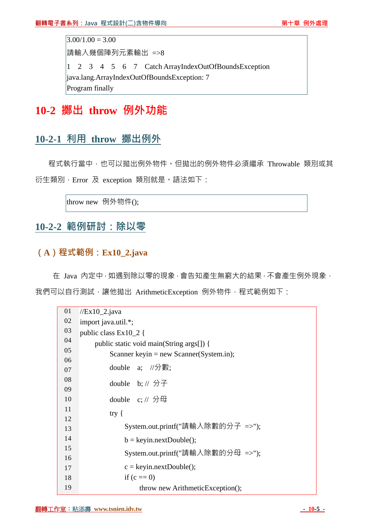$3.00/1.00 = 3.00$ 請輸入幾個陣列元素輸出 =>8 1 2 3 4 5 6 7 Catch ArrayIndexOutOfBoundsException java.lang.ArrayIndexOutOfBoundsException: 7 Program finally

# **10-2 擲出 throw 例外功能**

## **10-2-1 利用 throw 擲出例外**

程式執行當中,也可以拋出例外物件。但拋出的例外物件必須繼承 Throwable 類別或其 衍生類別,Error 及 exception 類別就是。語法如下:

throw new 例外物件();

### **10-2-2 範例研討:除以零**

#### **(A)程式範例:Ex10\_2.java**

在 Java 內定中,如遇到除以零的現象,會告知產生無窮大的結果,不會產生例外現象, 我們可以自行測試,讓他拋出 ArithmeticException 例外物件,程式範例如下:

| 01 | $//Ex10_2.java$                          |
|----|------------------------------------------|
| 02 | import java.util.*;                      |
| 03 | public class $Ex10_2$ {                  |
| 04 | public static void main(String args[]) { |
| 05 | Scanner keyin = new Scanner (System.in); |
| 06 | double a; //分數:                          |
| 07 |                                          |
| 08 | double b; $// \nrightarrow$ $\exists$    |
| 09 |                                          |
| 10 | double $c$ ; // 分母                       |
| 11 | try $\{$                                 |
| 12 |                                          |
| 13 | System.out.printf("請輸入除數的分子 =>");        |
| 14 | $b = keyin.nextDouble();$                |
| 15 | System.out.printf("請輸入除數的分母 =>");        |
| 16 |                                          |
| 17 | $c = keyin.nextDouble();$                |
| 18 | if $(c == 0)$                            |
| 19 | throw new ArithmeticException();         |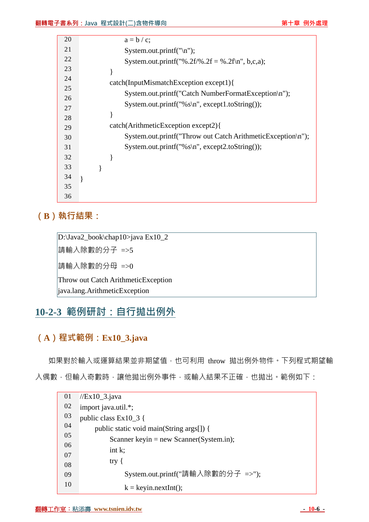| 20 | $a = b / c$ ;                                               |
|----|-------------------------------------------------------------|
| 21 | System.out.printf( $"\n\langle n"\rangle$ ;                 |
| 22 | System.out.printf("%.2f/%.2f = %.2f\n", b,c,a);             |
| 23 |                                                             |
| 24 | catch(InputMismatchException except1){                      |
| 25 |                                                             |
|    | System.out.printf("Catch NumberFormatException\n");         |
| 26 |                                                             |
| 27 | System.out.printf("% $s\$ ", except1.toString());           |
| 28 |                                                             |
| 29 | catch(ArithmeticException except2){                         |
| 30 | System.out.printf("Throw out Catch ArithmeticException\n"); |
| 31 | System.out.printf("% $s\$ ", except2.toString());           |
| 32 |                                                             |
| 33 |                                                             |
|    |                                                             |
| 34 |                                                             |
| 35 |                                                             |
|    |                                                             |
| 36 |                                                             |

## **(B)執行結果:**

D:\Java2\_book\chap10>java Ex10\_2 請輸入除數的分子 =>5 請輸入除數的分母 =>0 Throw out Catch ArithmeticException java.lang.ArithmeticException

# **10-2-3 範例研討:自行拋出例外**

### **(A)程式範例:Ex10\_3.java**

如果對於輸入或運算結果並非期望值,也可利用 throw 拋出例外物件。下列程式期望輸 入偶數,但輸入奇數時,讓他拋出例外事件,或輸入結果不正確,也拋出。範例如下:

| 01 | $//Ex10_3.java$                          |
|----|------------------------------------------|
| 02 | import java.util.*;                      |
| 03 | public class $Ex10_3$ {                  |
| 04 | public static void main(String args[]) { |
| 05 | Scanner keyin = new Scanner (System.in); |
| 06 | int $k$ ;                                |
| 07 | try $\{$                                 |
| 08 |                                          |
| 09 | System.out.printf("請輸入除數的分子 =>");        |
| 10 | $k = \text{keyin.nextInt}$ .             |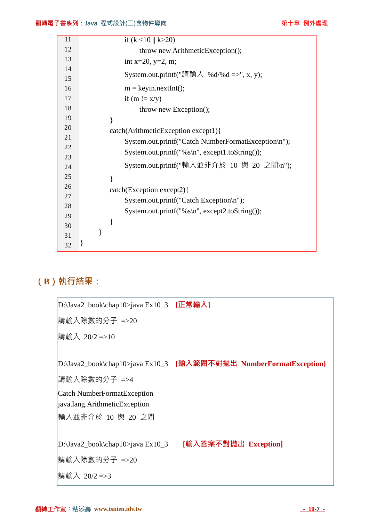| 11 | if $(k < 10 \parallel k > 20)$                      |
|----|-----------------------------------------------------|
| 12 | throw new ArithmeticException();                    |
| 13 | int x=20, y=2, m;                                   |
| 14 |                                                     |
| 15 | System.out.printf("請輸入 %d/%d =>", x, y);            |
| 16 | $m = \text{keyin.nextInt}$ .                        |
| 17 | if $(m != x/y)$                                     |
| 18 | throw new Exception();                              |
| 19 | }                                                   |
| 20 | catch(ArithmeticException except1){                 |
| 21 | System.out.printf("Catch NumberFormatException\n"); |
| 22 | System.out.printf("%s\n", except1.toString());      |
| 23 |                                                     |
| 24 | System.out.printf("輸入並非介於 10 與 20 之間\n");           |
| 25 | ∤                                                   |
| 26 | catch(Exception except2){                           |
| 27 | System.out.printf("Catch Exception\n");             |
| 28 | System.out.printf("% $s\$ ", except2.toString());   |
| 29 |                                                     |
| 30 |                                                     |
| 31 |                                                     |
| 32 |                                                     |

# **(B)執行結果:**

| D:\Java2_book\chap10>java Ex10_3 [正常輸入] |                                                                   |
|-----------------------------------------|-------------------------------------------------------------------|
| 請輸入除數的分子 =>20                           |                                                                   |
| 請輸入 20/2 =>10                           |                                                                   |
|                                         |                                                                   |
|                                         | D:\Java2_book\chap10>java Ex10_3 [輸入範圍不對拋出 NumberFormatException] |
| 請輸入除數的分子 =>4                            |                                                                   |
| Catch NumberFormatException             |                                                                   |
| java.lang.ArithmeticException           |                                                                   |
| 輸入並非介於 10 與 20 之間                       |                                                                   |
|                                         |                                                                   |
| D:\Java2_book\chap10>java Ex10_3        | [輸入答案不對拋出 Exception]                                              |
| 請輸入除數的分子 =>20                           |                                                                   |
| 請輸入 20/2 =>3                            |                                                                   |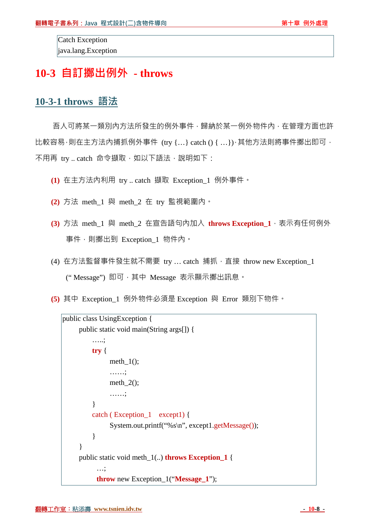Catch Exception java.lang.Exception

# **10-3 自訂擲出例外 - throws**

#### **10-3-1 throws 語法**

吾人可將某一類別內方法所發生的例外事件,歸納於某一例外物件內,在管理方面也許  $\bigcup_{i=1}^n E_i$  比較容易,則在主方法內捕抓例外事件 (try {...} catch () {...}),其他方法則將事件擲出即可, 不用再 try .. catch 命令擷取, 如以下語法, 說明如下:

- **(1)** 在主方法內利用 try .. catch 擷取 Exception\_1 例外事件。
- **(2)** 方法 meth\_1 與 meth\_2 在 try 監視範圍內。
- **(3)** 方法 meth\_1 與 meth\_2 在宣告語句內加入 **throws Exception\_1**,表示有任何例外 事件,則擲出到 Exception\_1 物件內。
- (4) 在方法監督事件發生就不需要 try ... catch 捕抓, 直接 throw new Exception\_1 (" Message") 即可,其中 Message 表示顯示擲出訊息。
- **(5)** 其中 Exception\_1 例外物件必須是 Exception 與 Error 類別下物件。

```
public class UsingException { 
     public static void main(String args[]) { 
          …..; 
         try { 
               meth_1();
               ……; 
               meth_2();
               ……; 
          } 
          catch ( Exception_1 except1) { 
               System.out.printf("%s\n", except1.getMessage()); 
          } 
     } 
     public static void meth_1(..) throws Exception_1 { 
           …; 
           throw new Exception_1("Message_1");
```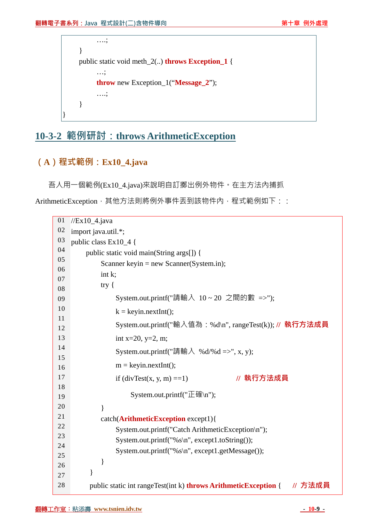```
….; 
} 
public static void meth_2(..) throws Exception_1 { 
     …; 
     throw new Exception_1("Message_2"); 
     ….; 
}
```
# **10-3-2 範例研討:throws ArithmeticException**

### **(A)程式範例:Ex10\_4.java**

}

吾人用一個範例(Ex10\_4.java)來說明自訂擲出例外物件。在主方法內捕抓

ArithmeticException, 其他方法則將例外事件丟到該物件內, 程式範例如下::

| 01       | $//Ex10_4.java$                                                                   |  |
|----------|-----------------------------------------------------------------------------------|--|
| 02       | import java.util.*;                                                               |  |
| 03       | public class $Ex10_4$ {                                                           |  |
| 04       | public static void main(String args[]) {                                          |  |
| 05       | Scanner keyin = new Scanner(System.in);                                           |  |
| 06       | int k;                                                                            |  |
| 07       | try $\{$                                                                          |  |
| 08<br>09 | System.out.printf("請輸入 10~20 之間的數 =>");                                           |  |
| 10       |                                                                                   |  |
| 11       | $k = keyin.nextInt();$                                                            |  |
| 12       | System.out.printf("輸入值為:%d\n", rangeTest(k)); // 執行方法成員                           |  |
| 13       | int x=20, y=2, m;                                                                 |  |
| 14       |                                                                                   |  |
| 15       | System.out.printf("請輸入 %d/%d =>", x, y);                                          |  |
| 16       | $m = \text{keyin.nextInt}$ .                                                      |  |
| 17       | // 執行方法成員<br>if $\text{divTest}(x, y, m) = 1$                                     |  |
| 18       |                                                                                   |  |
| 19       | System.out.printf("正確\n");                                                        |  |
| 20       | $\}$                                                                              |  |
| 21       | catch(ArithmeticException except1){                                               |  |
| 22       | System.out.printf("Catch ArithmeticException\n");                                 |  |
| 23       | System.out.printf("%s\n", except1.toString());                                    |  |
| 24       | System.out.printf("%s\n", except1.getMessage());                                  |  |
| 25       | }                                                                                 |  |
| 26       | }                                                                                 |  |
| 27       |                                                                                   |  |
| 28       | // 方法成員<br>public static int rangeTest(int k) <b>throws ArithmeticException</b> { |  |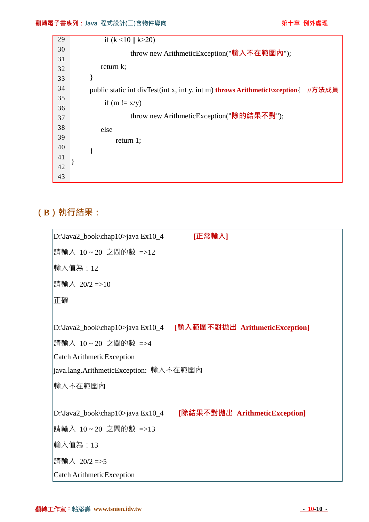| 29 | if $(k < 10 \parallel k > 20)$                                             |        |
|----|----------------------------------------------------------------------------|--------|
| 30 | throw new ArithmeticException("輸入不在範圍內");                                  |        |
| 31 |                                                                            |        |
| 32 | return $k$ ;                                                               |        |
| 33 |                                                                            |        |
| 34 | public static int divTest(int x, int y, int m) throws ArithmeticException{ | //方法成員 |
| 35 | if $(m != x/y)$                                                            |        |
| 36 |                                                                            |        |
| 37 | throw new ArithmeticException(" <b>除的結果不</b> 對");                          |        |
| 38 | else                                                                       |        |
| 39 | return $1$ ;                                                               |        |
| 40 |                                                                            |        |
| 41 |                                                                            |        |
| 42 |                                                                            |        |
| 43 |                                                                            |        |

# **(B)執行結果:**

| D:\Java2_book\chap10>java Ex10_4       | [正常輸入]                                                          |
|----------------------------------------|-----------------------------------------------------------------|
| 請輸入 10~20 之間的數 =>12                    |                                                                 |
| 輸入值為:12                                |                                                                 |
| 請輸入 20/2 =>10                          |                                                                 |
| 正確                                     |                                                                 |
|                                        |                                                                 |
|                                        | D:\Java2_book\chap10>java Ex10_4 [輸入範圍不對拋出 ArithmeticException] |
| 請輸入 10~20 之間的數 =>4                     |                                                                 |
| Catch ArithmeticException              |                                                                 |
| java.lang.ArithmeticException: 輸入不在範圍內 |                                                                 |
| 輸入不在範圍內                                |                                                                 |
|                                        |                                                                 |
|                                        | D:\Java2_book\chap10>java Ex10_4 [除結果不對拋出 ArithmeticException]  |
| 請輸入 10~20 之間的數 =>13                    |                                                                 |
| 輸入值為:13                                |                                                                 |
| 請輸入 20/2=>5                            |                                                                 |
| Catch ArithmeticException              |                                                                 |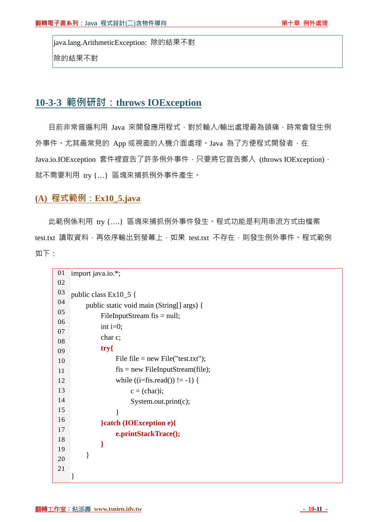java.lang.ArithmeticException: 除的結果不對 除的結果不對

## **10-3-3 範例研討:throws IOException**

目前非常普遍利用 Java 來開發應用程式,對於輸入/輸出處理最為頭痛,時常會發生例 外事件。尤其最常見的 App 或視窗的人機介面處理。Java 為了方便程式開發者, 在 Java.io.IOException 套件裡宣告了許多例外事件,只要將它宣告擲入 (throws IOException), 就不需要利用 try {…} 區塊來捕抓例外事件產生。

#### **(A) 程式範例:Ex10\_5.java**

此範例係利用 try {….} 區塊來捕抓例外事件發生。程式功能是利用串流方式由檔案 test.txt 讀取資料,再依序輸出到螢幕上,如果 test.txt 不存在,則發生例外事件。程式範例 如下:

| 01       | import java.io.*;                         |
|----------|-------------------------------------------|
| 02       |                                           |
| 03       | public class Ex10_5 {                     |
| 04       | public static void main (String[] args) { |
| 05       | FileInputStream $f$ is = null;            |
| 06       | int $i=0$ ;                               |
| 07       | char c;                                   |
| 08       | $try\$                                    |
| 09       | File $file = new File("test.txt");$       |
| 10       | $f$ is = new FileInputStream(file);       |
| 11<br>12 | while $((i=fs.read()) \equiv -1)$ {       |
| 13       |                                           |
| 14       | $c = (char)i;$                            |
| 15       | System.out.print(c);                      |
| 16       | $\mathcal{E}$                             |
| 17       | }catch (IOException e){                   |
| 18       | e.printStackTrace();                      |
| 19       | ∤                                         |
| 20       | }                                         |
| 21       |                                           |
|          |                                           |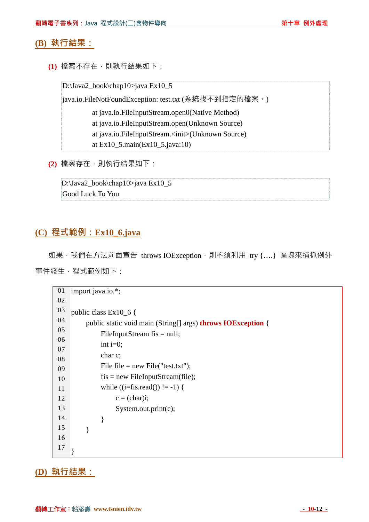#### **(B) 執行結果:**

**(1)** 檔案不存在,則執行結果如下:

D:\Java2\_book\chap10>java Ex10\_5

java.io.FileNotFoundException: test.txt (系統找不到指定的檔案。)

 at java.io.FileInputStream.open0(Native Method) at java.io.FileInputStream.open(Unknown Source) at java.io.FileInputStream.<init>(Unknown Source)

at Ex10\_5.main(Ex10\_5.java:10)

```
(2) 檔案存在,則執行結果如下:
```
D:\Java2\_book\chap10>java Ex10\_5 Good Luck To You

#### **(C) 程式範例:Ex10\_6.java**

如果, 我們在方法前面宣告 throws IOException, 則不須利用 try {....} 區塊來捕抓例外

事件發生,程式範例如下:

```
01 
02 
03 
04 
05 
06 
07 
08 
09 
10 
11 
12 
13 
14 
15 
16 
17 
    import java.io.*; 
    public class Ex10_6 { 
           public static void main (String[] args) throws IOException { 
                FileInputStream fis = null;
                int i=0:
                 char c; 
                File file = new File("test.txt");
                fis = new FileInputStream(file);
                while ((i=fs.read()) \equiv -1) {
                      c = (char)i:
                       System.out.print(c); 
                 } 
           } 
     }
```
#### **(D) 執行結果:**